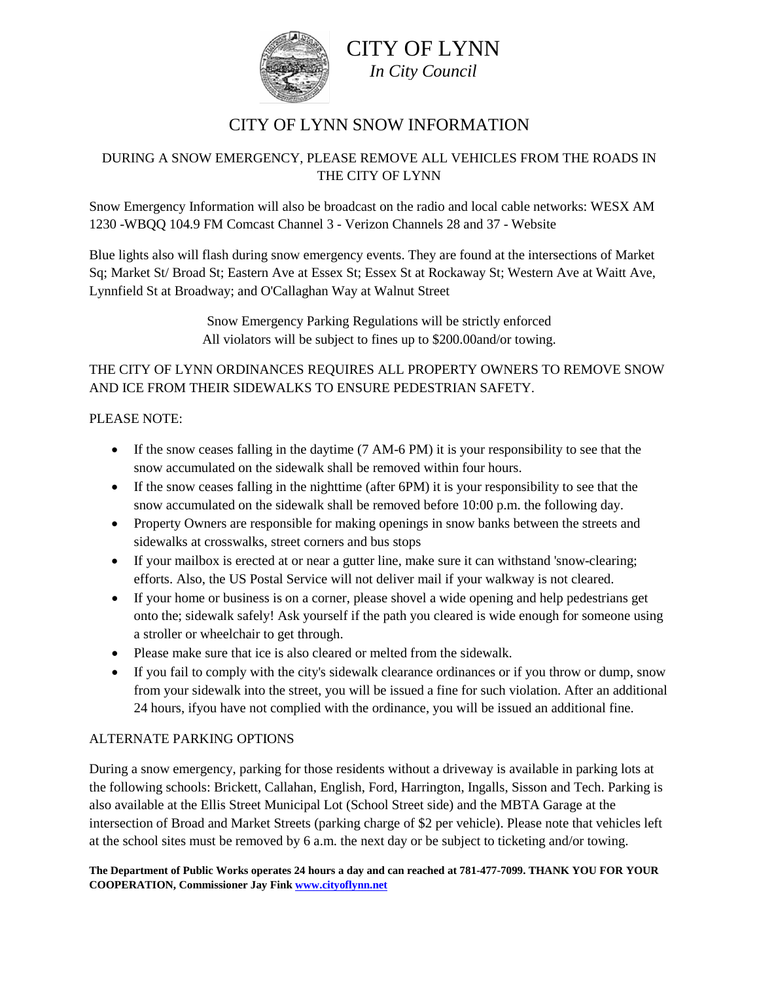

# CITY OF LYNN *In City Council*

## CITY OF LYNN SNOW INFORMATION

#### DURING A SNOW EMERGENCY, PLEASE REMOVE ALL VEHICLES FROM THE ROADS IN THE CITY OF LYNN

Snow Emergency Information will also be broadcast on the radio and local cable networks: WESX AM 1230 -WBQQ 104.9 FM Comcast Channel 3 - Verizon Channels 28 and 37 - Website

Blue lights also will flash during snow emergency events. They are found at the intersections of Market Sq; Market St/ Broad St; Eastern Ave at Essex St; Essex St at Rockaway St; Western Ave at Waitt Ave, Lynnfield St at Broadway; and O'Callaghan Way at Walnut Street

> Snow Emergency Parking Regulations will be strictly enforced All violators will be subject to fines up to \$200.00and/or towing.

#### THE CITY OF LYNN ORDINANCES REQUIRES ALL PROPERTY OWNERS TO REMOVE SNOW AND ICE FROM THEIR SIDEWALKS TO ENSURE PEDESTRIAN SAFETY.

#### PLEASE NOTE:

- If the snow ceases falling in the daytime (7 AM-6 PM) it is your responsibility to see that the snow accumulated on the sidewalk shall be removed within four hours.
- If the snow ceases falling in the nighttime (after 6PM) it is your responsibility to see that the snow accumulated on the sidewalk shall be removed before 10:00 p.m. the following day.
- Property Owners are responsible for making openings in snow banks between the streets and sidewalks at crosswalks, street corners and bus stops
- If your mailbox is erected at or near a gutter line, make sure it can withstand 'snow-clearing; efforts. Also, the US Postal Service will not deliver mail if your walkway is not cleared.
- If your home or business is on a corner, please shovel a wide opening and help pedestrians get onto the; sidewalk safely! Ask yourself if the path you cleared is wide enough for someone using a stroller or wheelchair to get through.
- Please make sure that ice is also cleared or melted from the sidewalk.
- If you fail to comply with the city's sidewalk clearance ordinances or if you throw or dump, snow from your sidewalk into the street, you will be issued a fine for such violation. After an additional 24 hours, ifyou have not complied with the ordinance, you will be issued an additional fine.

#### ALTERNATE PARKING OPTIONS

During a snow emergency, parking for those residents without a driveway is available in parking lots at the following schools: Brickett, Callahan, English, Ford, Harrington, Ingalls, Sisson and Tech. Parking is also available at the Ellis Street Municipal Lot (School Street side) and the MBTA Garage at the intersection of Broad and Market Streets (parking charge of \$2 per vehicle). Please note that vehicles left at the school sites must be removed by 6 a.m. the next day or be subject to ticketing and/or towing.

**The Department of Public Works operates 24 hours a day and can reached at 781-477-7099. THANK YOU FOR YOUR COOPERATION, Commissioner Jay Fin[k www.cityoflynn.net](http://www.cityoflynn.net/)**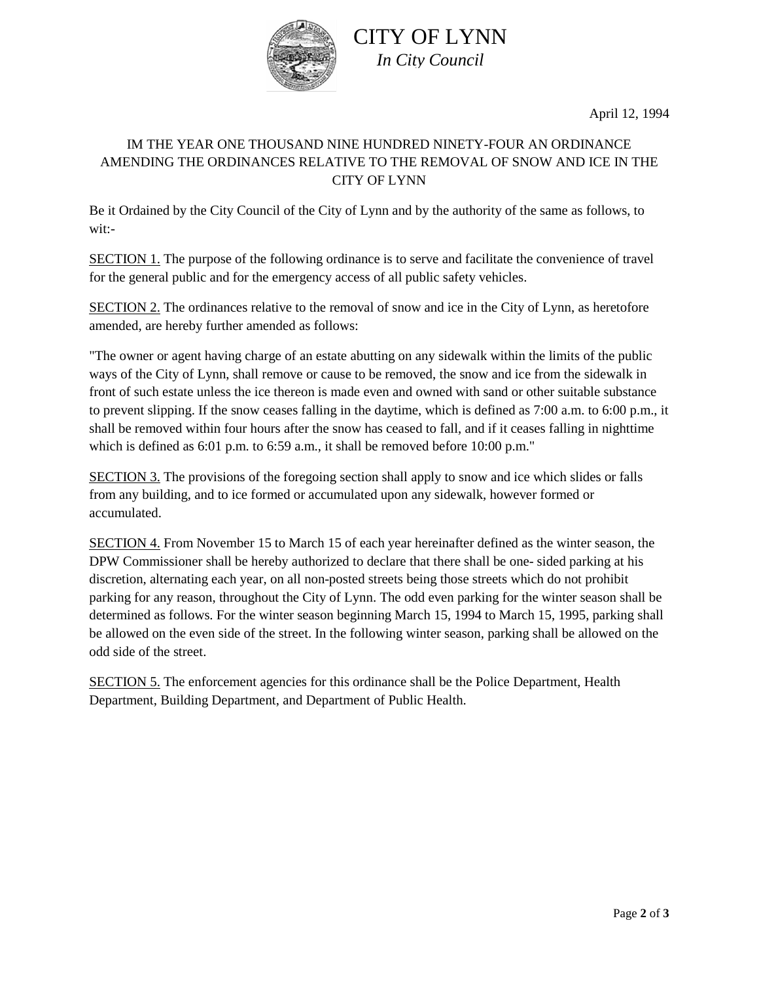

CITY OF LYNN *In City Council*

April 12, 1994

### IM THE YEAR ONE THOUSAND NINE HUNDRED NINETY-FOUR AN ORDINANCE AMENDING THE ORDINANCES RELATIVE TO THE REMOVAL OF SNOW AND ICE IN THE CITY OF LYNN

Be it Ordained by the City Council of the City of Lynn and by the authority of the same as follows, to wit:-

SECTION 1. The purpose of the following ordinance is to serve and facilitate the convenience of travel for the general public and for the emergency access of all public safety vehicles.

SECTION 2. The ordinances relative to the removal of snow and ice in the City of Lynn, as heretofore amended, are hereby further amended as follows:

"The owner or agent having charge of an estate abutting on any sidewalk within the limits of the public ways of the City of Lynn, shall remove or cause to be removed, the snow and ice from the sidewalk in front of such estate unless the ice thereon is made even and owned with sand or other suitable substance to prevent slipping. If the snow ceases falling in the daytime, which is defined as 7:00 a.m. to 6:00 p.m., it shall be removed within four hours after the snow has ceased to fall, and if it ceases falling in nighttime which is defined as 6:01 p.m. to 6:59 a.m., it shall be removed before 10:00 p.m."

SECTION 3. The provisions of the foregoing section shall apply to snow and ice which slides or falls from any building, and to ice formed or accumulated upon any sidewalk, however formed or accumulated.

SECTION 4. From November 15 to March 15 of each year hereinafter defined as the winter season, the DPW Commissioner shall be hereby authorized to declare that there shall be one- sided parking at his discretion, alternating each year, on all non-posted streets being those streets which do not prohibit parking for any reason, throughout the City of Lynn. The odd even parking for the winter season shall be determined as follows. For the winter season beginning March 15, 1994 to March 15, 1995, parking shall be allowed on the even side of the street. In the following winter season, parking shall be allowed on the odd side of the street.

SECTION 5. The enforcement agencies for this ordinance shall be the Police Department, Health Department, Building Department, and Department of Public Health.